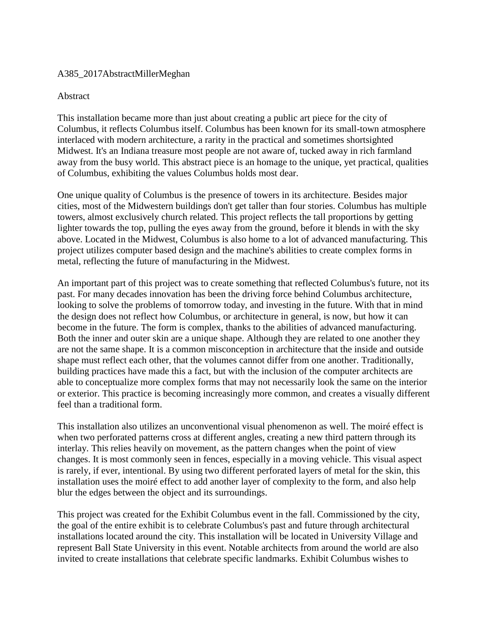## A385\_2017AbstractMillerMeghan

## Abstract

This installation became more than just about creating a public art piece for the city of Columbus, it reflects Columbus itself. Columbus has been known for its small-town atmosphere interlaced with modern architecture, a rarity in the practical and sometimes shortsighted Midwest. It's an Indiana treasure most people are not aware of, tucked away in rich farmland away from the busy world. This abstract piece is an homage to the unique, yet practical, qualities of Columbus, exhibiting the values Columbus holds most dear.

One unique quality of Columbus is the presence of towers in its architecture. Besides major cities, most of the Midwestern buildings don't get taller than four stories. Columbus has multiple towers, almost exclusively church related. This project reflects the tall proportions by getting lighter towards the top, pulling the eyes away from the ground, before it blends in with the sky above. Located in the Midwest, Columbus is also home to a lot of advanced manufacturing. This project utilizes computer based design and the machine's abilities to create complex forms in metal, reflecting the future of manufacturing in the Midwest.

An important part of this project was to create something that reflected Columbus's future, not its past. For many decades innovation has been the driving force behind Columbus architecture, looking to solve the problems of tomorrow today, and investing in the future. With that in mind the design does not reflect how Columbus, or architecture in general, is now, but how it can become in the future. The form is complex, thanks to the abilities of advanced manufacturing. Both the inner and outer skin are a unique shape. Although they are related to one another they are not the same shape. It is a common misconception in architecture that the inside and outside shape must reflect each other, that the volumes cannot differ from one another. Traditionally, building practices have made this a fact, but with the inclusion of the computer architects are able to conceptualize more complex forms that may not necessarily look the same on the interior or exterior. This practice is becoming increasingly more common, and creates a visually different feel than a traditional form.

This installation also utilizes an unconventional visual phenomenon as well. The moiré effect is when two perforated patterns cross at different angles, creating a new third pattern through its interlay. This relies heavily on movement, as the pattern changes when the point of view changes. It is most commonly seen in fences, especially in a moving vehicle. This visual aspect is rarely, if ever, intentional. By using two different perforated layers of metal for the skin, this installation uses the moiré effect to add another layer of complexity to the form, and also help blur the edges between the object and its surroundings.

This project was created for the Exhibit Columbus event in the fall. Commissioned by the city, the goal of the entire exhibit is to celebrate Columbus's past and future through architectural installations located around the city. This installation will be located in University Village and represent Ball State University in this event. Notable architects from around the world are also invited to create installations that celebrate specific landmarks. Exhibit Columbus wishes to